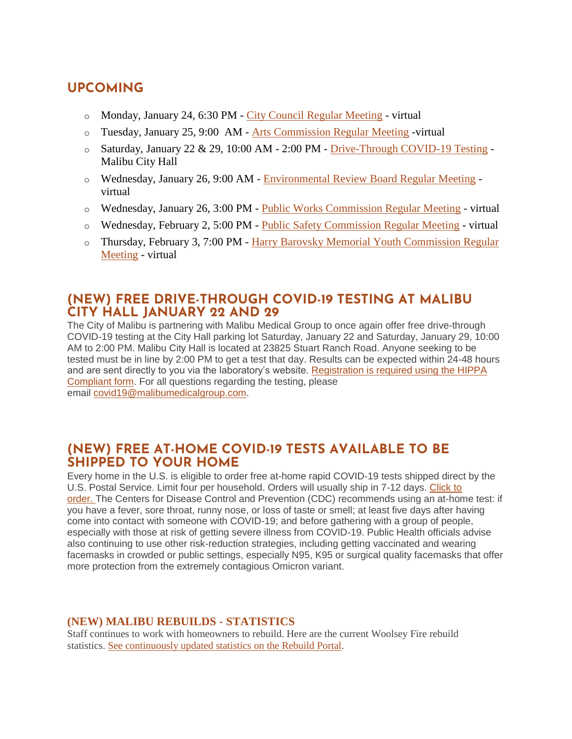# **UPCOMING**

- o Monday, January 24, 6:30 PM [City Council Regular Meeting](https://malibucity.primegov.com/Portal/Meeting?compiledMeetingDocumentFileId=2333) virtual
- o Tuesday, January 25, 9:00 AM [Arts Commission Regular Meeting](https://malibucity.primegov.com/Portal/Meeting?compiledMeetingDocumentFileId=2334) -virtual
- o Saturday, January 22 & 29, 10:00 AM 2:00 PM [Drive-Through COVID-19 Testing](https://www.malibucity.org/covidtest2022) Malibu City Hall
- o Wednesday, January 26, 9:00 AM [Environmental Review Board Regular Meeting](https://malibucity.primegov.com/Portal/Meeting?compiledMeetingDocumentFileId=2327) virtual
- o Wednesday, January 26, 3:00 PM [Public Works Commission Regular Meeting](https://www.malibucity.org/Calendar.aspx?EID=6354&month=1&year=2022&day=26&calType=0) virtual
- o Wednesday, February 2, 5:00 PM [Public Safety Commission Regular Meeting](https://www.malibucity.org/Calendar.aspx?EID=6239&month=2&year=2022&day=2&calType=0) virtual
- o Thursday, February 3, 7:00 PM [Harry Barovsky Memorial Youth Commission Regular](https://www.malibucity.org/Calendar.aspx?EID=5858&month=2&year=2022&day=3&calType=0)  [Meeting](https://www.malibucity.org/Calendar.aspx?EID=5858&month=2&year=2022&day=3&calType=0) - virtual

## **(NEW) FREE DRIVE-THROUGH COVID-19 TESTING AT MALIBU CITY HALL JANUARY 22 AND 29**

The City of Malibu is partnering with Malibu Medical Group to once again offer free drive-through COVID-19 testing at the City Hall parking lot Saturday, January 22 and Saturday, January 29, 10:00 AM to 2:00 PM. Malibu City Hall is located at 23825 Stuart Ranch Road. Anyone seeking to be tested must be in line by 2:00 PM to get a test that day. Results can be expected within 24-48 hours and are sent directly to you via the laboratory's website. [Registration is required using the HIPPA](https://hipaa.jotform.com/220194931703149)  [Compliant form.](https://hipaa.jotform.com/220194931703149) For all questions regarding the testing, please email [covid19@malibumedicalgroup.com.](mailto:covid19@malibumedicalgroup.com)

# **(NEW) FREE AT-HOME COVID-19 TESTS AVAILABLE TO BE**

**SHIPPED TO YOUR HOME** Every home in the U.S. is eligible to order free at-home rapid COVID-19 tests shipped direct by the U.S. Postal Service. Limit four per household. Orders will usually ship in 7-12 days. [Click to](https://special.usps.com/testkits)  [order.](https://special.usps.com/testkits) The Centers for Disease Control and Prevention (CDC) recommends using an at-home test: if you have a fever, sore throat, runny nose, or loss of taste or smell; at least five days after having come into contact with someone with COVID-19; and before gathering with a group of people, especially with those at risk of getting severe illness from COVID-19. Public Health officials advise also continuing to use other risk-reduction strategies, including getting vaccinated and wearing facemasks in crowded or public settings, especially N95, K95 or surgical quality facemasks that offer more protection from the extremely contagious Omicron variant.

#### **(NEW) MALIBU REBUILDS - STATISTICS**

Staff continues to work with homeowners to rebuild. Here are the current Woolsey Fire rebuild statistics. See [continuously](https://malibupermits.ci.malibu.ca.us/WoolseyRebuildStats.aspx?returnId=901) updated statistics on the Rebuild Portal.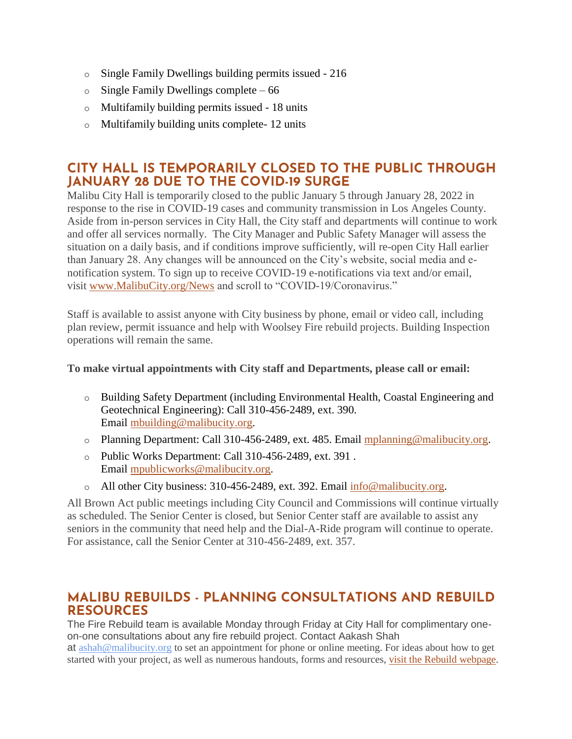- o Single Family Dwellings building permits issued 216
- $\circ$  Single Family Dwellings complete 66
- o Multifamily building permits issued 18 units
- o Multifamily building units complete- 12 units

### **CITY HALL IS TEMPORARILY CLOSED TO THE PUBLIC THROUGH JANUARY 28 DUE TO THE COVID-19 SURGE**

Malibu City Hall is temporarily closed to the public January 5 through January 28, 2022 in response to the rise in COVID-19 cases and community transmission in Los Angeles County. Aside from in-person services in City Hall, the City staff and departments will continue to work and offer all services normally. The City Manager and Public Safety Manager will assess the situation on a daily basis, and if conditions improve sufficiently, will re-open City Hall earlier than January 28. Any changes will be announced on the City's website, social media and enotification system. To sign up to receive COVID-19 e-notifications via text and/or email, visit [www.MalibuCity.org/News](http://www.malibucity.org/News) and scroll to "COVID-19/Coronavirus."

Staff is available to assist anyone with City business by phone, email or video call, including plan review, permit issuance and help with Woolsey Fire rebuild projects. Building Inspection operations will remain the same.

#### **To make virtual appointments with City staff and Departments, please call or email:**

- o Building Safety Department (including Environmental Health, Coastal Engineering and Geotechnical Engineering): Call 310-456-2489, ext. 390. Email [mbuilding@malibucity.org.](mailto:mbuilding@malibucity.org)
- o Planning Department: Call 310-456-2489, ext. 485. Email [mplanning@malibucity.org.](mailto:mplanning@malibucity.org)
- o Public Works Department: Call 310-456-2489, ext. 391 . Email [mpublicworks@malibucity.org.](mailto:mpublicworks@malibucity.org)
- o All other City business: 310-456-2489, ext. 392. Email [info@malibucity.org.](mailto:info@malibucity.org)

All Brown Act public meetings including City Council and Commissions will continue virtually as scheduled. The Senior Center is closed, but Senior Center staff are available to assist any seniors in the community that need help and the Dial-A-Ride program will continue to operate. For assistance, call the Senior Center at 310-456-2489, ext. 357.

#### **MALIBU REBUILDS - PLANNING CONSULTATIONS AND REBUILD RESOURCES**

The Fire Rebuild team is available Monday through Friday at City Hall for complimentary oneon-one consultations about any fire rebuild project. Contact Aakash Shah

at [ashah@malibucity.org](mailto:ashah@malibucity.org) to set an appointment for phone or online meeting. For ideas about how to get started with your project, as well as numerous handouts, forms and resources, visit the Rebuild [webpage.](https://www.malibucity.org/901/Malibu-Rebuilds)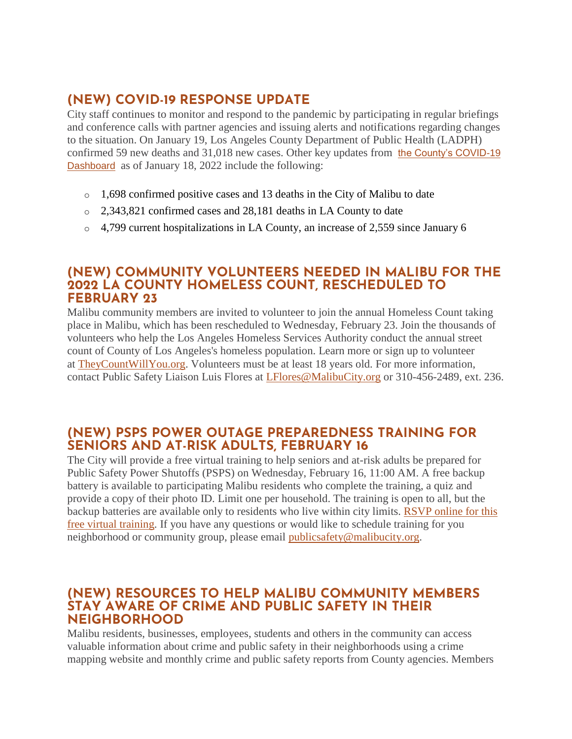# **(NEW) COVID-19 RESPONSE UPDATE**

City staff continues to monitor and respond to the pandemic by participating in regular briefings and conference calls with partner agencies and issuing alerts and notifications regarding changes to the situation. On January 19, Los Angeles County Department of Public Health (LADPH) confirmed 59 new deaths and 31,018 new cases. Other key updates from [the County's COVID-19](http://publichealth.lacounty.gov/media/coronavirus/data/index.htm)  [Dashboard](http://publichealth.lacounty.gov/media/coronavirus/data/index.htm) as of January 18, 2022 include the following:

- o 1,698 confirmed positive cases and 13 deaths in the City of Malibu to date
- o 2,343,821 confirmed cases and 28,181 deaths in LA County to date
- o 4,799 current hospitalizations in LA County, an increase of 2,559 since January 6

#### **(NEW) COMMUNITY VOLUNTEERS NEEDED IN MALIBU FOR THE 2022 LA COUNTY HOMELESS COUNT, RESCHEDULED TO FEBRUARY 23**

Malibu community members are invited to volunteer to join the annual Homeless Count taking place in Malibu, which has been rescheduled to Wednesday, February 23. Join the thousands of volunteers who help the Los Angeles Homeless Services Authority conduct the annual street count of County of Los Angeles's homeless population. Learn more or sign up to volunteer at [TheyCountWillYou.org.](https://www.theycountwillyou.org/) Volunteers must be at least 18 years old. For more information, contact Public Safety Liaison Luis Flores at [LFlores@MalibuCity.org](mailto:LFlores@MalibuCity.org) or 310-456-2489, ext. 236.

#### **(NEW) PSPS POWER OUTAGE PREPAREDNESS TRAINING FOR SENIORS AND AT-RISK ADULTS, FEBRUARY 16**

The City will provide a free virtual training to help seniors and at-risk adults be prepared for Public Safety Power Shutoffs (PSPS) on Wednesday, February 16, 11:00 AM. A free backup battery is available to participating Malibu residents who complete the training, a quiz and provide a copy of their photo ID. Limit one per household. The training is open to all, but the backup batteries are available only to residents who live within city limits. [RSVP online for this](http://malibusafety.eventbrite.com/)  [free virtual training.](http://malibusafety.eventbrite.com/) If you have any questions or would like to schedule training for you neighborhood or community group, please email [publicsafety@malibucity.org.](mailto:publicsafety@malibucity.org)

# **(NEW) RESOURCES TO HELP MALIBU COMMUNITY MEMBERS STAY AWARE OF CRIME AND PUBLIC SAFETY IN THEIR NEIGHBORHOOD**

Malibu residents, businesses, employees, students and others in the community can access valuable information about crime and public safety in their neighborhoods using a crime mapping website and monthly crime and public safety reports from County agencies. Members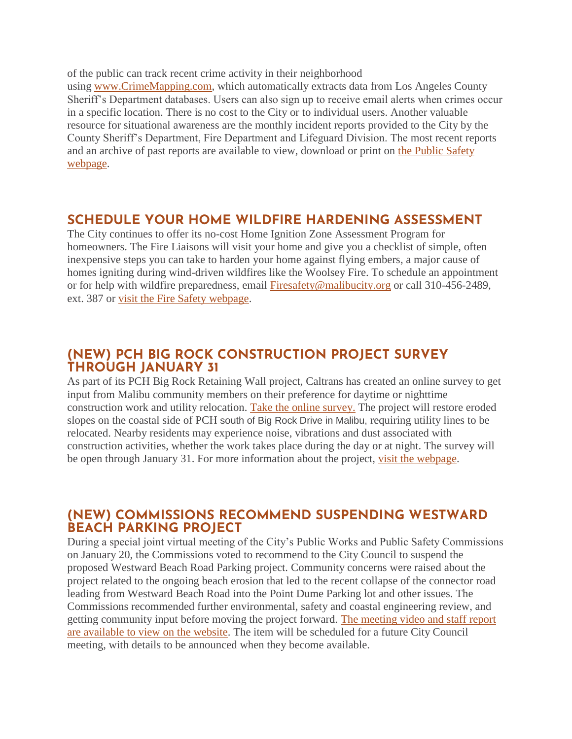of the public can track recent crime activity in their neighborhood using [www.CrimeMapping.com,](http://www.crimemapping.com/) which automatically extracts data from Los Angeles County Sheriff's Department databases. Users can also sign up to receive email alerts when crimes occur in a specific location. There is no cost to the City or to individual users. Another valuable resource for situational awareness are the monthly incident reports provided to the City by the County Sheriff's Department, Fire Department and Lifeguard Division. The most recent reports and an archive of past reports are available to view, download or print on [the Public Safety](https://www.malibucity.org/PublicSafety)  [webpage.](https://www.malibucity.org/PublicSafety)

#### **SCHEDULE YOUR HOME WILDFIRE HARDENING ASSESSMENT**

The City continues to offer its no-cost Home Ignition Zone Assessment Program for homeowners. The Fire Liaisons will visit your home and give you a checklist of simple, often inexpensive steps you can take to harden your home against flying embers, a major cause of homes igniting during wind-driven wildfires like the Woolsey Fire. To schedule an appointment or for help with wildfire preparedness, email [Firesafety@malibucity.org](mailto:Firesafety@malibucity.org) or call 310-456-2489, ext. 387 or [visit the Fire Safety webpage.](https://www.malibucity.org/firesafety)

## **(NEW) PCH BIG ROCK CONSTRUCTION PROJECT SURVEY THROUGH JANUARY 31**

As part of its PCH Big Rock Retaining Wall project, Caltrans has created an online survey to get input from Malibu community members on their preference for daytime or nighttime construction work and utility relocation. [Take the online survey.](https://www.surveymonkey.com/r/DCWLW7N) The project will restore eroded slopes on the coastal side of PCH south of Big Rock Drive in Malibu, requiring utility lines to be relocated. Nearby residents may experience noise, vibrations and dust associated with construction activities, whether the work takes place during the day or at night. The survey will be open through January 31. For more information about the project, [visit the webpage.](https://bit.ly/3wY0Ouz)

# **(NEW) COMMISSIONS RECOMMEND SUSPENDING WESTWARD BEACH PARKING PROJECT**

During a special joint virtual meeting of the City's Public Works and Public Safety Commissions on January 20, the Commissions voted to recommend to the City Council to suspend the proposed Westward Beach Road Parking project. Community concerns were raised about the project related to the ongoing beach erosion that led to the recent collapse of the connector road leading from Westward Beach Road into the Point Dume Parking lot and other issues. The Commissions recommended further environmental, safety and coastal engineering review, and getting community input before moving the project forward. [The meeting video and staff report](https://malibucity.primegov.com/Portal/Meeting?compiledMeetingDocumentFileId=2317)  [are available to view on the website.](https://malibucity.primegov.com/Portal/Meeting?compiledMeetingDocumentFileId=2317) The item will be scheduled for a future City Council meeting, with details to be announced when they become available.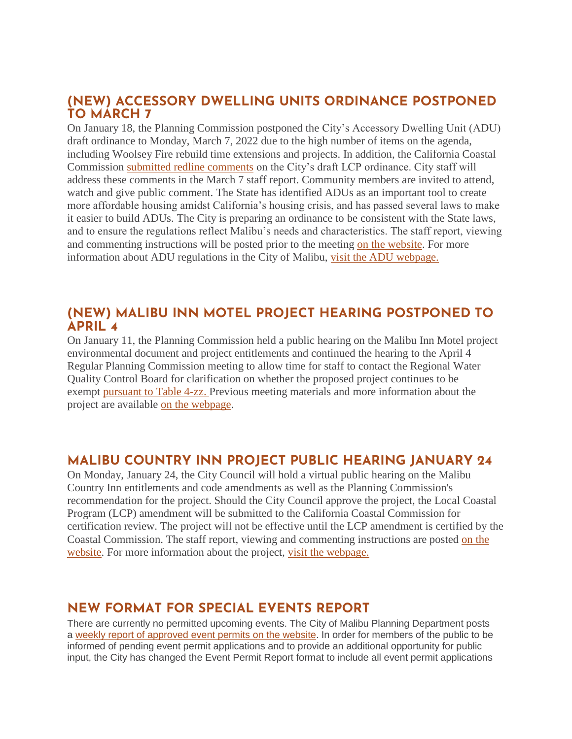#### **(NEW) ACCESSORY DWELLING UNITS ORDINANCE POSTPONED TO MARCH 7**

On January 18, the Planning Commission postponed the City's Accessory Dwelling Unit (ADU) draft ordinance to Monday, March 7, 2022 due to the high number of items on the agenda, including Woolsey Fire rebuild time extensions and projects. In addition, the California Coastal Commission [submitted redline comments](https://malibucity.org/DocumentCenter/View/29239/PC220118_Item-4D_Correspondence_CCC) on the City's draft LCP ordinance. City staff will address these comments in the March 7 staff report. Community members are invited to attend, watch and give public comment. The State has identified ADUs as an important tool to create more affordable housing amidst California's housing crisis, and has passed several laws to make it easier to build ADUs. The City is preparing an ordinance to be consistent with the State laws, and to ensure the regulations reflect Malibu's needs and characteristics. The staff report, viewing and commenting instructions will be posted prior to the meeting [on the website.](http://www.malibucity.org/virtualmeeting) For more information about ADU regulations in the City of Malibu, [visit the ADU webpage.](https://www.malibucity.org/adu)

#### **(NEW) MALIBU INN MOTEL PROJECT HEARING POSTPONED TO APRIL 4**

On January 11, the Planning Commission held a public hearing on the Malibu Inn Motel project environmental document and project entitlements and continued the hearing to the April 4 Regular Planning Commission meeting to allow time for staff to contact the Regional Water Quality Control Board for clarification on whether the proposed project continues to be exempt [pursuant to Table 4-zz.](https://malibucity.org/DocumentCenter/View/29241/Table4-zzResolutionR14-003) Previous meeting materials and more information about the project are available [on the webpage.](https://www.malibucity.org/810/Malibu-Inn-Motel)

#### **MALIBU COUNTRY INN PROJECT PUBLIC HEARING JANUARY 24**

On Monday, January 24, the City Council will hold a virtual public hearing on the Malibu Country Inn entitlements and code amendments as well as the Planning Commission's recommendation for the project. Should the City Council approve the project, the Local Coastal Program (LCP) amendment will be submitted to the California Coastal Commission for certification review. The project will not be effective until the LCP amendment is certified by the Coastal Commission. The staff report, viewing and commenting instructions are posted [on the](http://www.malibucity.org/virtualmeeting)  [website.](http://www.malibucity.org/virtualmeeting) For more information about the project, [visit the webpage.](https://www.malibucity.org/1093/Malibu-Country-Inn)

# **NEW FORMAT FOR SPECIAL EVENTS REPORT**

There are currently no permitted upcoming events. The City of Malibu Planning Department posts a [weekly report of approved event permits on the website.](https://www.malibucity.org/DocumentCenter/View/24661/Permitted-Events) In order for members of the public to be informed of pending event permit applications and to provide an additional opportunity for public input, the City has changed the Event Permit Report format to include all event permit applications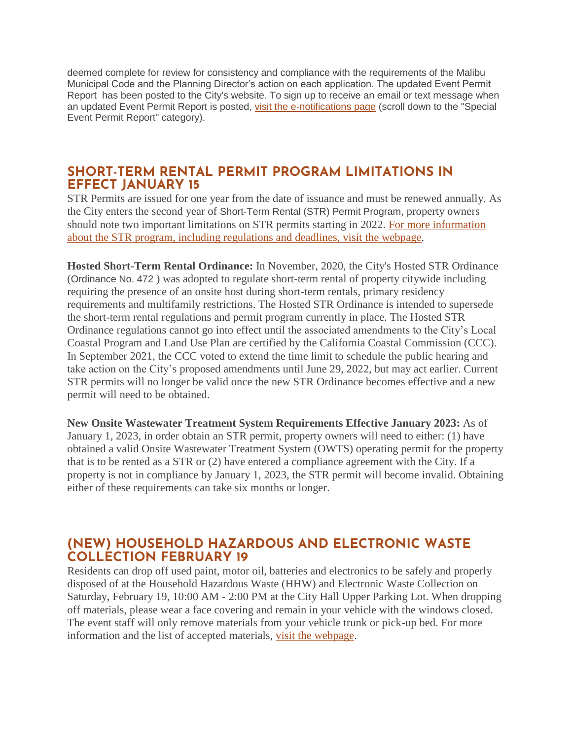deemed complete for review for consistency and compliance with the requirements of the Malibu Municipal Code and the Planning Director's action on each application. The updated Event Permit Report has been posted to the City's website. To sign up to receive an email or text message when an updated Event Permit Report is posted, [visit the e-notifications page](https://www.malibucity.org/news) (scroll down to the "Special Event Permit Report" category).

# **SHORT-TERM RENTAL PERMIT PROGRAM LIMITATIONS IN EFFECT JANUARY 15**

STR Permits are issued for one year from the date of issuance and must be renewed annually. As the City enters the second year of Short-Term Rental (STR) Permit Program, property owners should note two important limitations on STR permits starting in 2022. [For more information](https://malibucity.org/820/Short-Term-Rental-Program)  [about the STR program, including regulations and deadlines, visit](https://malibucity.org/820/Short-Term-Rental-Program) the webpage.

**Hosted Short-Term Rental Ordinance:** In November, 2020, the City's Hosted STR Ordinance (Ordinance No. 472 ) was adopted to regulate short-term rental of property citywide including requiring the presence of an onsite host during short-term rentals, primary residency requirements and multifamily restrictions. The Hosted STR Ordinance is intended to supersede the short-term rental regulations and permit program currently in place. The Hosted STR Ordinance regulations cannot go into effect until the associated amendments to the City's Local Coastal Program and Land Use Plan are certified by the California Coastal Commission (CCC). In September 2021, the CCC voted to extend the time limit to schedule the public hearing and take action on the City's proposed amendments until June 29, 2022, but may act earlier. Current STR permits will no longer be valid once the new STR Ordinance becomes effective and a new permit will need to be obtained.

**New Onsite Wastewater Treatment System Requirements Effective January 2023:** As of January 1, 2023, in order obtain an STR permit, property owners will need to either: (1) have obtained a valid Onsite Wastewater Treatment System (OWTS) operating permit for the property that is to be rented as a STR or (2) have entered a compliance agreement with the City. If a property is not in compliance by January 1, 2023, the STR permit will become invalid. Obtaining either of these requirements can take six months or longer.

# **(NEW) HOUSEHOLD HAZARDOUS AND ELECTRONIC WASTE COLLECTION FEBRUARY 19**

Residents can drop off used paint, motor oil, batteries and electronics to be safely and properly disposed of at the Household Hazardous Waste (HHW) and Electronic Waste Collection on Saturday, February 19, 10:00 AM - 2:00 PM at the City Hall Upper Parking Lot. When dropping off materials, please wear a face covering and remain in your vehicle with the windows closed. The event staff will only remove materials from your vehicle trunk or pick-up bed. For more information and the list of accepted materials, [visit the webpage.](https://www.malibucity.org/Calendar.aspx?EID=6102)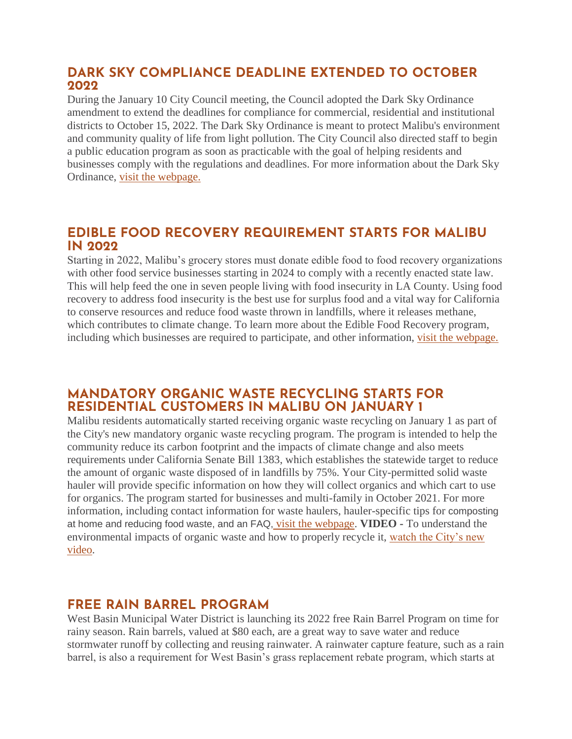#### **DARK SKY COMPLIANCE DEADLINE EXTENDED TO OCTOBER 2022**

During the January 10 City Council meeting, the Council adopted the Dark Sky Ordinance amendment to extend the deadlines for compliance for commercial, residential and institutional districts to October 15, 2022. The Dark Sky Ordinance is meant to protect Malibu's environment and community quality of life from light pollution. The City Council also directed staff to begin a public education program as soon as practicable with the goal of helping residents and businesses comply with the regulations and deadlines. For more information about the Dark Sky Ordinance, [visit the webpage.](https://www.malibucity.org/705/Dark-Sky-Ordinance)

## **EDIBLE FOOD RECOVERY REQUIREMENT STARTS FOR MALIBU IN 2022**

Starting in 2022, Malibu's grocery stores must donate edible food to food recovery organizations with other food service businesses starting in 2024 to comply with a recently enacted state law. This will help feed the one in seven people living with food insecurity in LA County. Using food recovery to address food insecurity is the best use for surplus food and a vital way for California to conserve resources and reduce food waste thrown in landfills, where it releases methane, which contributes to climate change. To learn more about the Edible Food Recovery program, including which businesses are required to participate, and other information, [visit the webpage.](https://www.malibucity.org/303/Food-Recovery)

# **MANDATORY ORGANIC WASTE RECYCLING STARTS FOR RESIDENTIAL CUSTOMERS IN MALIBU ON JANUARY 1**

Malibu residents automatically started receiving organic waste recycling on January 1 as part of the City's new mandatory organic waste recycling program. The program is intended to help the community reduce its carbon footprint and the impacts of climate change and also meets requirements under California Senate Bill 1383, which establishes the statewide target to reduce the amount of organic waste disposed of in landfills by 75%. Your City-permitted solid waste hauler will provide specific information on how they will collect organics and which cart to use for organics. The program started for businesses and multi-family in October 2021. For more information, including contact information for waste haulers, hauler-specific tips for composting at home and reducing food waste, and an FAQ, [visit the webpage.](https://www.malibucity.org/organics) **VIDEO -** To understand the environmental impacts of organic waste and how to properly recycle it, watch the City's new [video.](https://youtu.be/dZGqdZR7TnU)

# **FREE RAIN BARREL PROGRAM**

West Basin Municipal Water District is launching its 2022 free Rain Barrel Program on time for rainy season. Rain barrels, valued at \$80 each, are a great way to save water and reduce stormwater runoff by collecting and reusing rainwater. A rainwater capture feature, such as a rain barrel, is also a requirement for West Basin's grass replacement rebate program, which starts at